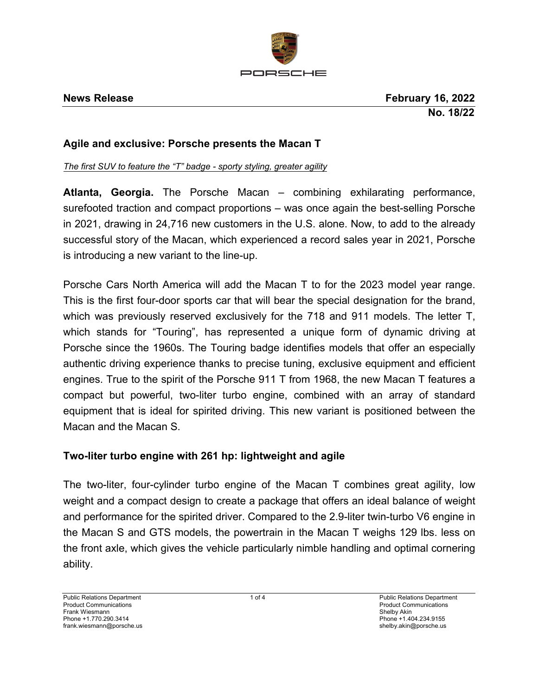

## **Agile and exclusive: Porsche presents the Macan T**

*The first SUV to feature the "T" badge - sporty styling, greater agility*

**Atlanta, Georgia.** The Porsche Macan – combining exhilarating performance, surefooted traction and compact proportions – was once again the best-selling Porsche in 2021, drawing in 24,716 new customers in the U.S. alone. Now, to add to the already successful story of the Macan, which experienced a record sales year in 2021, Porsche is introducing a new variant to the line-up.

Porsche Cars North America will add the Macan T to for the 2023 model year range. This is the first four-door sports car that will bear the special designation for the brand, which was previously reserved exclusively for the 718 and 911 models. The letter T, which stands for "Touring", has represented a unique form of dynamic driving at Porsche since the 1960s. The Touring badge identifies models that offer an especially authentic driving experience thanks to precise tuning, exclusive equipment and efficient engines. True to the spirit of the Porsche 911 T from 1968, the new Macan T features a compact but powerful, two-liter turbo engine, combined with an array of standard equipment that is ideal for spirited driving. This new variant is positioned between the Macan and the Macan S.

# **Two-liter turbo engine with 261 hp: lightweight and agile**

The two-liter, four-cylinder turbo engine of the Macan T combines great agility, low weight and a compact design to create a package that offers an ideal balance of weight and performance for the spirited driver. Compared to the 2.9-liter twin-turbo V6 engine in the Macan S and GTS models, the powertrain in the Macan T weighs 129 lbs. less on the front axle, which gives the vehicle particularly nimble handling and optimal cornering ability.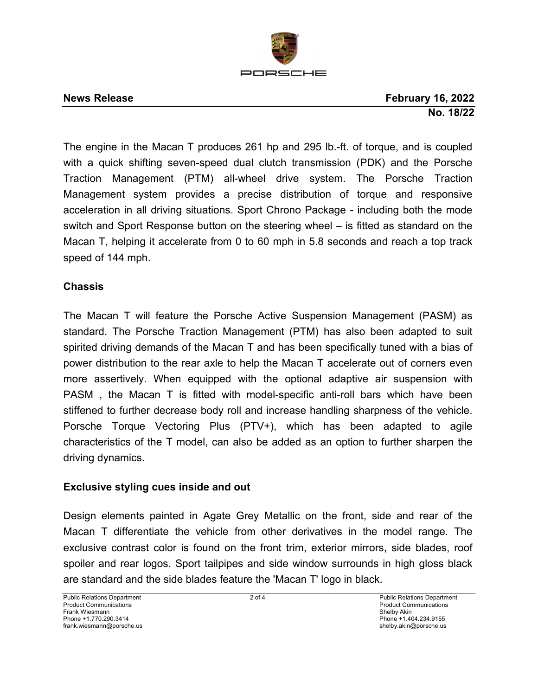

The engine in the Macan T produces 261 hp and 295 lb.-ft. of torque, and is coupled with a quick shifting seven-speed dual clutch transmission (PDK) and the Porsche Traction Management (PTM) all-wheel drive system. The Porsche Traction Management system provides a precise distribution of torque and responsive acceleration in all driving situations. Sport Chrono Package - including both the mode switch and Sport Response button on the steering wheel – is fitted as standard on the Macan T, helping it accelerate from 0 to 60 mph in 5.8 seconds and reach a top track speed of 144 mph.

## **Chassis**

The Macan T will feature the Porsche Active Suspension Management (PASM) as standard. The Porsche Traction Management (PTM) has also been adapted to suit spirited driving demands of the Macan T and has been specifically tuned with a bias of power distribution to the rear axle to help the Macan T accelerate out of corners even more assertively. When equipped with the optional adaptive air suspension with PASM , the Macan T is fitted with model-specific anti-roll bars which have been stiffened to further decrease body roll and increase handling sharpness of the vehicle. Porsche Torque Vectoring Plus (PTV+), which has been adapted to agile characteristics of the T model, can also be added as an option to further sharpen the driving dynamics.

### **Exclusive styling cues inside and out**

Design elements painted in Agate Grey Metallic on the front, side and rear of the Macan T differentiate the vehicle from other derivatives in the model range. The exclusive contrast color is found on the front trim, exterior mirrors, side blades, roof spoiler and rear logos. Sport tailpipes and side window surrounds in high gloss black are standard and the side blades feature the 'Macan T' logo in black.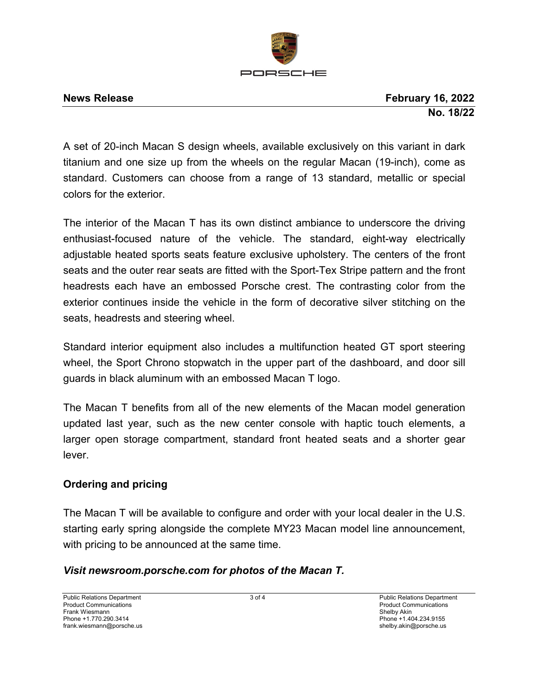

A set of 20-inch Macan S design wheels, available exclusively on this variant in dark titanium and one size up from the wheels on the regular Macan (19-inch), come as standard. Customers can choose from a range of 13 standard, metallic or special colors for the exterior.

The interior of the Macan T has its own distinct ambiance to underscore the driving enthusiast-focused nature of the vehicle. The standard, eight-way electrically adjustable heated sports seats feature exclusive upholstery. The centers of the front seats and the outer rear seats are fitted with the Sport-Tex Stripe pattern and the front headrests each have an embossed Porsche crest. The contrasting color from the exterior continues inside the vehicle in the form of decorative silver stitching on the seats, headrests and steering wheel.

Standard interior equipment also includes a multifunction heated GT sport steering wheel, the Sport Chrono stopwatch in the upper part of the dashboard, and door sill guards in black aluminum with an embossed Macan T logo.

The Macan T benefits from all of the new elements of the Macan model generation updated last year, such as the new center console with haptic touch elements, a larger open storage compartment, standard front heated seats and a shorter gear lever.

# **Ordering and pricing**

The Macan T will be available to configure and order with your local dealer in the U.S. starting early spring alongside the complete MY23 Macan model line announcement, with pricing to be announced at the same time.

### *Visit newsroom.porsche.com for photos of the Macan T.*